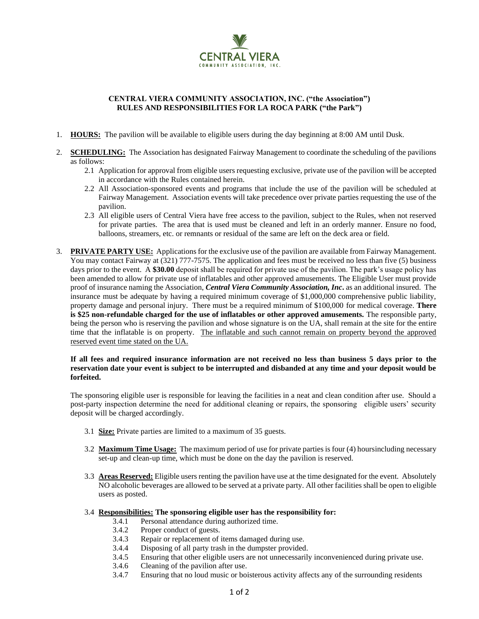

## **CENTRAL VIERA COMMUNITY ASSOCIATION, INC. ("the Association") RULES AND RESPONSIBILITIES FOR LA ROCA PARK ("the Park")**

- 1. **HOURS:** The pavilion will be available to eligible users during the day beginning at 8:00 AM until Dusk.
- 2. **SCHEDULING:** The Association has designated Fairway Management to coordinate the scheduling of the pavilions as follows:
	- 2.1 Application for approval from eligible users requesting exclusive, private use of the pavilion will be accepted in accordance with the Rules contained herein.
	- 2.2 All Association-sponsored events and programs that include the use of the pavilion will be scheduled at Fairway Management. Association events will take precedence over private parties requesting the use of the pavilion.
	- 2.3 All eligible users of Central Viera have free access to the pavilion, subject to the Rules, when not reserved for private parties. The area that is used must be cleaned and left in an orderly manner. Ensure no food, balloons, streamers, etc. or remnants or residual of the same are left on the deck area or field.
- 3. **PRIVATE PARTY USE:** Applications for the exclusive use of the pavilion are available from Fairway Management. You may contact Fairway at (321) 777-7575. The application and fees must be received no less than five (5) business days prior to the event. A **\$30.00** deposit shall be required for private use of the pavilion. The park's usage policy has been amended to allow for private use of inflatables and other approved amusements. The Eligible User must provide proof of insurance naming the Association, *Central Viera Community Association, Inc***.** as an additional insured. The insurance must be adequate by having a required minimum coverage of \$1,000,000 comprehensive public liability, property damage and personal injury. There must be a required minimum of \$100,000 for medical coverage. **There is \$25 non-refundable charged for the use of inflatables or other approved amusements.** The responsible party, being the person who is reserving the pavilion and whose signature is on the UA, shall remain at the site for the entire time that the inflatable is on property. The inflatable and such cannot remain on property beyond the approved reserved event time stated on the UA.

## **If all fees and required insurance information are not received no less than business 5 days prior to the reservation date your event is subject to be interrupted and disbanded at any time and your deposit would be forfeited.**

The sponsoring eligible user is responsible for leaving the facilities in a neat and clean condition after use. Should a post-party inspection determine the need for additional cleaning or repairs, the sponsoring eligible users' security deposit will be charged accordingly.

- 3.1 **Size:** Private parties are limited to a maximum of 35 guests.
- 3.2 **Maximum Time Usage:** The maximum period of use for private parties is four (4) hoursincluding necessary set-up and clean-up time, which must be done on the day the pavilion is reserved.
- 3.3 **Areas Reserved:** Eligible users renting the pavilion have use at the time designated for the event. Absolutely NO alcoholic beverages are allowed to be served at a private party. All other facilities shall be open to eligible users as posted.
- 3.4 **Responsibilities: The sponsoring eligible user has the responsibility for:**
	- 3.4.1 Personal attendance during authorized time.
	- 3.4.2 Proper conduct of guests.
	- 3.4.3 Repair or replacement of items damaged during use.
	- 3.4.4 Disposing of all party trash in the dumpster provided.
	- 3.4.5 Ensuring that other eligible users are not unnecessarily inconvenienced during private use.
	- 3.4.6 Cleaning of the pavilion after use.
	- 3.4.7 Ensuring that no loud music or boisterous activity affects any of the surrounding residents